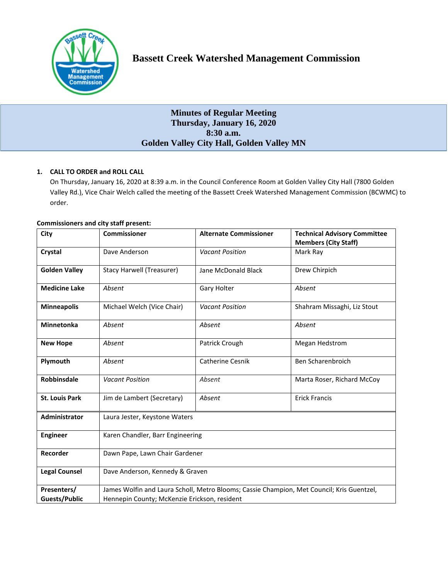

# **Minutes of Regular Meeting Thursday, January 16, 2020 8:30 a.m. Golden Valley City Hall, Golden Valley MN**

# **1. CALL TO ORDER and ROLL CALL**

On Thursday, January 16, 2020 at 8:39 a.m. in the Council Conference Room at Golden Valley City Hall (7800 Golden Valley Rd.), Vice Chair Welch called the meeting of the Bassett Creek Watershed Management Commission (BCWMC) to order.

| <b>Commissioners and city staff present:</b> |  |  |  |  |
|----------------------------------------------|--|--|--|--|
|----------------------------------------------|--|--|--|--|

| City                  | <b>Commissioner</b>                                                                       | <b>Alternate Commissioner</b> | <b>Technical Advisory Committee</b><br><b>Members (City Staff)</b> |  |  |
|-----------------------|-------------------------------------------------------------------------------------------|-------------------------------|--------------------------------------------------------------------|--|--|
| Crystal               | Dave Anderson                                                                             | <b>Vacant Position</b>        | Mark Ray                                                           |  |  |
| <b>Golden Valley</b>  | <b>Stacy Harwell (Treasurer)</b>                                                          | Jane McDonald Black           | Drew Chirpich                                                      |  |  |
| <b>Medicine Lake</b>  | Absent                                                                                    | Gary Holter                   | Absent                                                             |  |  |
| <b>Minneapolis</b>    | Michael Welch (Vice Chair)                                                                | <b>Vacant Position</b>        | Shahram Missaghi, Liz Stout                                        |  |  |
| <b>Minnetonka</b>     | Absent                                                                                    | Absent                        | Absent                                                             |  |  |
| <b>New Hope</b>       | Absent                                                                                    | Patrick Crough                | <b>Megan Hedstrom</b>                                              |  |  |
| Plymouth              | Absent                                                                                    | Catherine Cesnik              | Ben Scharenbroich                                                  |  |  |
| <b>Robbinsdale</b>    | <b>Vacant Position</b>                                                                    | Absent                        | Marta Roser, Richard McCoy                                         |  |  |
| <b>St. Louis Park</b> | Jim de Lambert (Secretary)                                                                | Absent                        | <b>Erick Francis</b>                                               |  |  |
| Administrator         | Laura Jester, Keystone Waters                                                             |                               |                                                                    |  |  |
| <b>Engineer</b>       | Karen Chandler, Barr Engineering                                                          |                               |                                                                    |  |  |
| Recorder              | Dawn Pape, Lawn Chair Gardener                                                            |                               |                                                                    |  |  |
| <b>Legal Counsel</b>  | Dave Anderson, Kennedy & Graven                                                           |                               |                                                                    |  |  |
| Presenters/           | James Wolfin and Laura Scholl, Metro Blooms; Cassie Champion, Met Council; Kris Guentzel, |                               |                                                                    |  |  |
| <b>Guests/Public</b>  | Hennepin County; McKenzie Erickson, resident                                              |                               |                                                                    |  |  |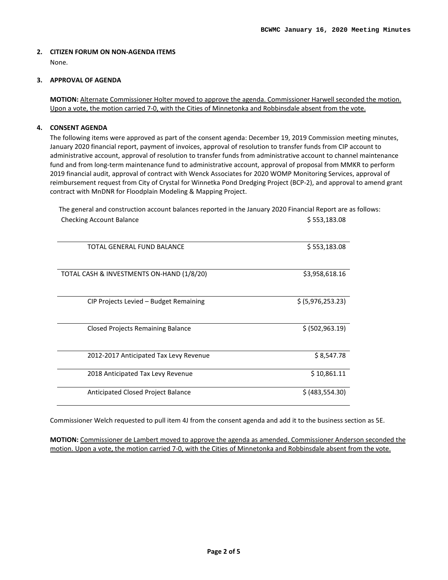### **2. CITIZEN FORUM ON NON-AGENDA ITEMS**  None.

# **3. APPROVAL OF AGENDA**

**MOTION:** Alternate Commissioner Holter moved to approve the agenda. Commissioner Harwell seconded the motion. Upon a vote, the motion carried 7-0, with the Cities of Minnetonka and Robbinsdale absent from the vote.

# **4. CONSENT AGENDA**

The following items were approved as part of the consent agenda: December 19, 2019 Commission meeting minutes, January 2020 financial report, payment of invoices, approval of resolution to transfer funds from CIP account to administrative account, approval of resolution to transfer funds from administrative account to channel maintenance fund and from long-term maintenance fund to administrative account, approval of proposal from MMKR to perform 2019 financial audit, approval of contract with Wenck Associates for 2020 WOMP Monitoring Services, approval of reimbursement request from City of Crystal for Winnetka Pond Dredging Project (BCP-2), and approval to amend grant contract with MnDNR for Floodplain Modeling & Mapping Project.

The general and construction account balances reported in the January 2020 Financial Report are as follows: Checking Account Balance **\$ 553,183.08** 

| TOTAL GENERAL FUND BALANCE                | \$553,183.08      |  |
|-------------------------------------------|-------------------|--|
| TOTAL CASH & INVESTMENTS ON-HAND (1/8/20) | \$3,958,618.16    |  |
| CIP Projects Levied – Budget Remaining    | \$ (5,976,253.23) |  |
| Closed Projects Remaining Balance         | \$ (502, 963.19)  |  |
| 2012-2017 Anticipated Tax Levy Revenue    | \$8,547.78        |  |
| 2018 Anticipated Tax Levy Revenue         | \$10,861.11       |  |
| Anticipated Closed Project Balance        | \$ (483, 554.30)  |  |

Commissioner Welch requested to pull item 4J from the consent agenda and add it to the business section as 5E.

**MOTION:** Commissioner de Lambert moved to approve the agenda as amended. Commissioner Anderson seconded the motion. Upon a vote, the motion carried 7-0, with the Cities of Minnetonka and Robbinsdale absent from the vote.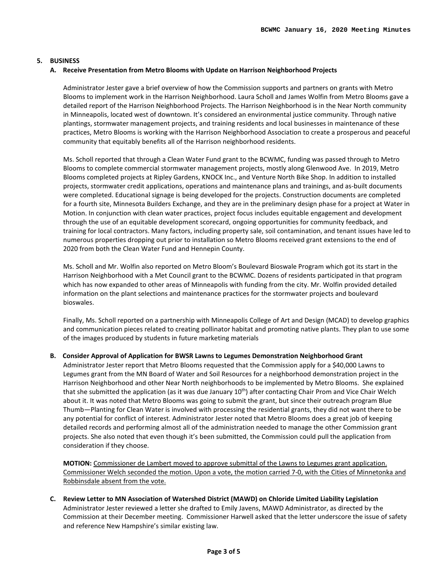# **5. BUSINESS**

#### **A. Receive Presentation from Metro Blooms with Update on Harrison Neighborhood Projects**

Administrator Jester gave a brief overview of how the Commission supports and partners on grants with Metro Blooms to implement work in the Harrison Neighborhood. Laura Scholl and James Wolfin from Metro Blooms gave a detailed report of the Harrison Neighborhood Projects. The Harrison Neighborhood is in the Near North community in Minneapolis, located west of downtown. It's considered an environmental justice community. Through native plantings, stormwater management projects, and training residents and local businesses in maintenance of these practices, Metro Blooms is working with the Harrison Neighborhood Association to create a prosperous and peaceful community that equitably benefits all of the Harrison neighborhood residents.

Ms. Scholl reported that through a Clean Water Fund grant to the BCWMC, funding was passed through to Metro Blooms to complete commercial stormwater management projects, mostly along Glenwood Ave. In 2019, Metro Blooms completed projects at Ripley Gardens, KNOCK Inc., and Venture North Bike Shop. In addition to installed projects, stormwater credit applications, operations and maintenance plans and trainings, and as-built documents were completed. Educational signage is being developed for the projects. Construction documents are completed for a fourth site, Minnesota Builders Exchange, and they are in the preliminary design phase for a project at Water in Motion. In conjunction with clean water practices, project focus includes equitable engagement and development through the use of an equitable development scorecard, ongoing opportunities for community feedback, and training for local contractors. Many factors, including property sale, soil contamination, and tenant issues have led to numerous properties dropping out prior to installation so Metro Blooms received grant extensions to the end of 2020 from both the Clean Water Fund and Hennepin County.

Ms. Scholl and Mr. Wolfin also reported on Metro Bloom's Boulevard Bioswale Program which got its start in the Harrison Neighborhood with a Met Council grant to the BCWMC. Dozens of residents participated in that program which has now expanded to other areas of Minneapolis with funding from the city. Mr. Wolfin provided detailed information on the plant selections and maintenance practices for the stormwater projects and boulevard bioswales.

Finally, Ms. Scholl reported on a partnership with Minneapolis College of Art and Design (MCAD) to develop graphics and communication pieces related to creating pollinator habitat and promoting native plants. They plan to use some of the images produced by students in future marketing materials

#### **B. Consider Approval of Application for BWSR Lawns to Legumes Demonstration Neighborhood Grant**

Administrator Jester report that Metro Blooms requested that the Commission apply for a \$40,000 Lawns to Legumes grant from the MN Board of Water and Soil Resources for a neighborhood demonstration project in the Harrison Neighborhood and other Near North neighborhoods to be implemented by Metro Blooms. She explained that she submitted the application (as it was due January 10<sup>th</sup>) after contacting Chair Prom and Vice Chair Welch about it. It was noted that Metro Blooms was going to submit the grant, but since their outreach program Blue Thumb—Planting for Clean Water is involved with processing the residential grants, they did not want there to be any potential for conflict of interest. Administrator Jester noted that Metro Blooms does a great job of keeping detailed records and performing almost all of the administration needed to manage the other Commission grant projects. She also noted that even though it's been submitted, the Commission could pull the application from consideration if they choose.

**MOTION:** Commissioner de Lambert moved to approve submittal of the Lawns to Legumes grant application. Commissioner Welch seconded the motion. Upon a vote, the motion carried 7-0, with the Cities of Minnetonka and Robbinsdale absent from the vote.

**C. Review Letter to MN Association of Watershed District (MAWD) on Chloride Limited Liability Legislation** Administrator Jester reviewed a letter she drafted to Emily Javens, MAWD Administrator, as directed by the Commission at their December meeting. Commissioner Harwell asked that the letter underscore the issue of safety and reference New Hampshire's similar existing law.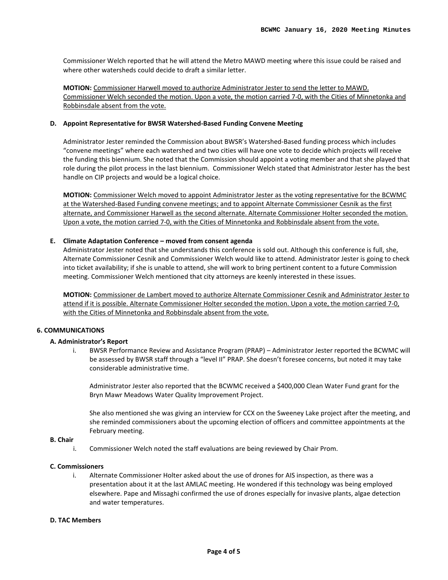Commissioner Welch reported that he will attend the Metro MAWD meeting where this issue could be raised and where other watersheds could decide to draft a similar letter.

**MOTION:** Commissioner Harwell moved to authorize Administrator Jester to send the letter to MAWD. Commissioner Welch seconded the motion. Upon a vote, the motion carried 7-0, with the Cities of Minnetonka and Robbinsdale absent from the vote.

### **D. Appoint Representative for BWSR Watershed-Based Funding Convene Meeting**

Administrator Jester reminded the Commission about BWSR's Watershed-Based funding process which includes "convene meetings" where each watershed and two cities will have one vote to decide which projects will receive the funding this biennium. She noted that the Commission should appoint a voting member and that she played that role during the pilot process in the last biennium. Commissioner Welch stated that Administrator Jester has the best handle on CIP projects and would be a logical choice.

**MOTION:** Commissioner Welch moved to appoint Administrator Jester as the voting representative for the BCWMC at the Watershed-Based Funding convene meetings; and to appoint Alternate Commissioner Cesnik as the first alternate, and Commissioner Harwell as the second alternate. Alternate Commissioner Holter seconded the motion. Upon a vote, the motion carried 7-0, with the Cities of Minnetonka and Robbinsdale absent from the vote.

### **E. Climate Adaptation Conference – moved from consent agenda**

Administrator Jester noted that she understands this conference is sold out. Although this conference is full, she, Alternate Commissioner Cesnik and Commissioner Welch would like to attend. Administrator Jester is going to check into ticket availability; if she is unable to attend, she will work to bring pertinent content to a future Commission meeting. Commissioner Welch mentioned that city attorneys are keenly interested in these issues.

**MOTION:** Commissioner de Lambert moved to authorize Alternate Commissioner Cesnik and Administrator Jester to attend if it is possible. Alternate Commissioner Holter seconded the motion. Upon a vote, the motion carried 7-0, with the Cities of Minnetonka and Robbinsdale absent from the vote.

# **6. COMMUNICATIONS**

#### **A. Administrator's Report**

i. BWSR Performance Review and Assistance Program (PRAP) – Administrator Jester reported the BCWMC will be assessed by BWSR staff through a "level II" PRAP. She doesn't foresee concerns, but noted it may take considerable administrative time.

Administrator Jester also reported that the BCWMC received a \$400,000 Clean Water Fund grant for the Bryn Mawr Meadows Water Quality Improvement Project.

She also mentioned she was giving an interview for CCX on the Sweeney Lake project after the meeting, and she reminded commissioners about the upcoming election of officers and committee appointments at the February meeting.

# **B. Chair**

i. Commissioner Welch noted the staff evaluations are being reviewed by Chair Prom.

### **C. Commissioners**

i. Alternate Commissioner Holter asked about the use of drones for AIS inspection, as there was a presentation about it at the last AMLAC meeting. He wondered if this technology was being employed elsewhere. Pape and Missaghi confirmed the use of drones especially for invasive plants, algae detection and water temperatures.

#### **D. TAC Members**